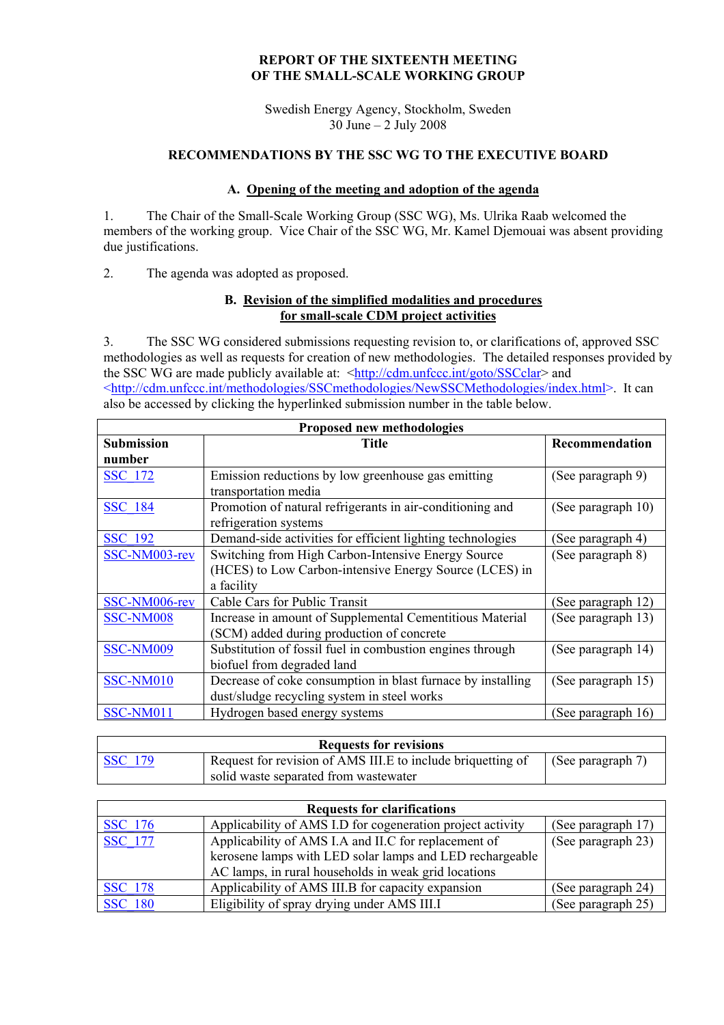### **REPORT OF THE SIXTEENTH MEETING OF THE SMALL-SCALE WORKING GROUP**

Swedish Energy Agency, Stockholm, Sweden 30 June – 2 July 2008

# **RECOMMENDATIONS BY THE SSC WG TO THE EXECUTIVE BOARD**

### **A. Opening of the meeting and adoption of the agenda**

1. The Chair of the Small-Scale Working Group (SSC WG), Ms. Ulrika Raab welcomed the members of the working group. Vice Chair of the SSC WG, Mr. Kamel Djemouai was absent providing due justifications.

2. The agenda was adopted as proposed.

### **B. Revision of the simplified modalities and procedures for small-scale CDM project activities**

3. The SSC WG considered submissions requesting revision to, or clarifications of, approved SSC methodologies as well as requests for creation of new methodologies. The detailed responses provided by the SSC WG are made publicly available at: [<http://cdm.unfccc.int/goto/SSCclar>](http://cdm.unfccc.int/goto/SSCclar) and [<http://cdm.unfccc.int/methodologies/SSCmethodologies/NewSSCMethodologies/index.html>](http://cdm.unfccc.int/methodologies/SSCmethodologies/NewSSCMethodologies/index.html). It can also be accessed by clicking the hyperlinked submission number in the table below.

| Proposed new methodologies |                                                             |                    |  |  |
|----------------------------|-------------------------------------------------------------|--------------------|--|--|
| <b>Submission</b>          | Title                                                       | Recommendation     |  |  |
| number                     |                                                             |                    |  |  |
| <b>SSC 172</b>             | Emission reductions by low greenhouse gas emitting          | (See paragraph 9)  |  |  |
|                            | transportation media                                        |                    |  |  |
| <b>SSC 184</b>             | Promotion of natural refrigerants in air-conditioning and   | (See paragraph 10) |  |  |
|                            | refrigeration systems                                       |                    |  |  |
| <b>SSC 192</b>             | Demand-side activities for efficient lighting technologies  | (See paragraph 4)  |  |  |
| SSC-NM003-rev              | Switching from High Carbon-Intensive Energy Source          | (See paragraph 8)  |  |  |
|                            | (HCES) to Low Carbon-intensive Energy Source (LCES) in      |                    |  |  |
|                            | a facility                                                  |                    |  |  |
| SSC-NM006-rev              | Cable Cars for Public Transit                               | (See paragraph 12) |  |  |
| SSC-NM008                  | Increase in amount of Supplemental Cementitious Material    | (See paragraph 13) |  |  |
|                            | (SCM) added during production of concrete                   |                    |  |  |
| <b>SSC-NM009</b>           | Substitution of fossil fuel in combustion engines through   | (See paragraph 14) |  |  |
|                            | biofuel from degraded land                                  |                    |  |  |
| SSC-NM010                  | Decrease of coke consumption in blast furnace by installing | (See paragraph 15) |  |  |
|                            | dust/sludge recycling system in steel works                 |                    |  |  |
| SSC-NM011                  | Hydrogen based energy systems                               | (See paragraph 16) |  |  |

| <b>Requests for revisions</b> |                                                             |                      |  |
|-------------------------------|-------------------------------------------------------------|----------------------|--|
| <b>SSC</b> 179                | Request for revision of AMS III.E to include briquetting of | (See paragraph $7$ ) |  |
|                               | solid waste separated from wastewater                       |                      |  |

| <b>Requests for clarifications</b> |                                                            |                    |  |  |
|------------------------------------|------------------------------------------------------------|--------------------|--|--|
| <b>SSC</b> 176                     | Applicability of AMS I.D for cogeneration project activity | (See paragraph 17) |  |  |
| <b>SSC</b> 177                     | Applicability of AMS I.A and II.C for replacement of       | (See paragraph 23) |  |  |
|                                    | kerosene lamps with LED solar lamps and LED rechargeable   |                    |  |  |
|                                    | AC lamps, in rural households in weak grid locations       |                    |  |  |
| <b>SSC</b> 178                     | Applicability of AMS III.B for capacity expansion          | (See paragraph 24) |  |  |
| <b>SSC</b> 180                     | Eligibility of spray drying under AMS III.I                | (See paragraph 25) |  |  |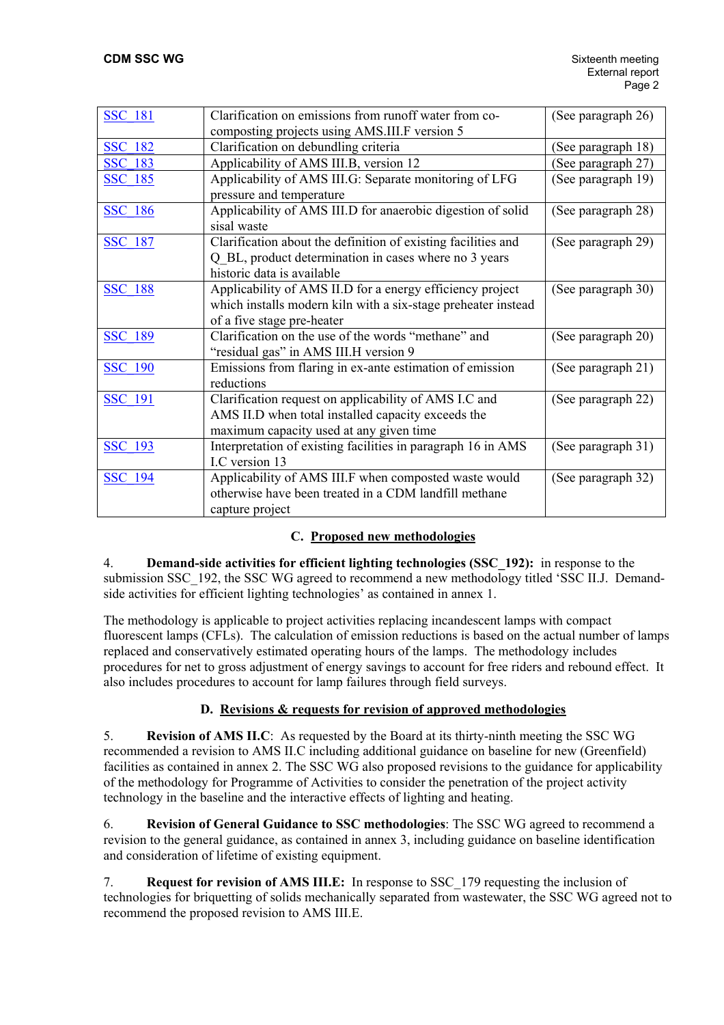| <b>SSC 181</b> | Clarification on emissions from runoff water from co-         | (See paragraph 26) |
|----------------|---------------------------------------------------------------|--------------------|
|                | composting projects using AMS.III.F version 5                 |                    |
| <b>SSC 182</b> | Clarification on debundling criteria                          | (See paragraph 18) |
| <b>SSC 183</b> | Applicability of AMS III.B, version 12                        | (See paragraph 27) |
| <b>SSC 185</b> | Applicability of AMS III.G: Separate monitoring of LFG        | (See paragraph 19) |
|                | pressure and temperature                                      |                    |
| <b>SSC 186</b> | Applicability of AMS III.D for anaerobic digestion of solid   | (See paragraph 28) |
|                | sisal waste                                                   |                    |
| <b>SSC 187</b> | Clarification about the definition of existing facilities and | (See paragraph 29) |
|                | Q BL, product determination in cases where no 3 years         |                    |
|                | historic data is available                                    |                    |
| <b>SSC 188</b> | Applicability of AMS II.D for a energy efficiency project     | (See paragraph 30) |
|                | which installs modern kiln with a six-stage preheater instead |                    |
|                | of a five stage pre-heater                                    |                    |
| <b>SSC 189</b> | Clarification on the use of the words "methane" and           | (See paragraph 20) |
|                | "residual gas" in AMS III.H version 9                         |                    |
| <b>SSC 190</b> | Emissions from flaring in ex-ante estimation of emission      | (See paragraph 21) |
|                | reductions                                                    |                    |
| <b>SSC 191</b> | Clarification request on applicability of AMS I.C and         | (See paragraph 22) |
|                | AMS II.D when total installed capacity exceeds the            |                    |
|                | maximum capacity used at any given time                       |                    |
| <b>SSC 193</b> | Interpretation of existing facilities in paragraph 16 in AMS  | (See paragraph 31) |
|                | I.C version 13                                                |                    |
| <b>SSC 194</b> | Applicability of AMS III.F when composted waste would         | (See paragraph 32) |
|                | otherwise have been treated in a CDM landfill methane         |                    |
|                | capture project                                               |                    |

# **C. Proposed new methodologies**

4. **Demand-side activities for efficient lighting technologies (SSC\_192):** in response to the submission SSC\_192, the SSC WG agreed to recommend a new methodology titled 'SSC II.J. Demandside activities for efficient lighting technologies' as contained in annex 1.

The methodology is applicable to project activities replacing incandescent lamps with compact fluorescent lamps (CFLs). The calculation of emission reductions is based on the actual number of lamps replaced and conservatively estimated operating hours of the lamps. The methodology includes procedures for net to gross adjustment of energy savings to account for free riders and rebound effect. It also includes procedures to account for lamp failures through field surveys.

# **D. Revisions & requests for revision of approved methodologies**

5. **Revision of AMS II.C**: As requested by the Board at its thirty-ninth meeting the SSC WG recommended a revision to AMS II.C including additional guidance on baseline for new (Greenfield) facilities as contained in annex 2. The SSC WG also proposed revisions to the guidance for applicability of the methodology for Programme of Activities to consider the penetration of the project activity technology in the baseline and the interactive effects of lighting and heating.

6. **Revision of General Guidance to SSC methodologies**: The SSC WG agreed to recommend a revision to the general guidance, as contained in annex 3, including guidance on baseline identification and consideration of lifetime of existing equipment.

7. **Request for revision of AMS III.E:** In response to SSC\_179 requesting the inclusion of technologies for briquetting of solids mechanically separated from wastewater, the SSC WG agreed not to recommend the proposed revision to AMS III.E.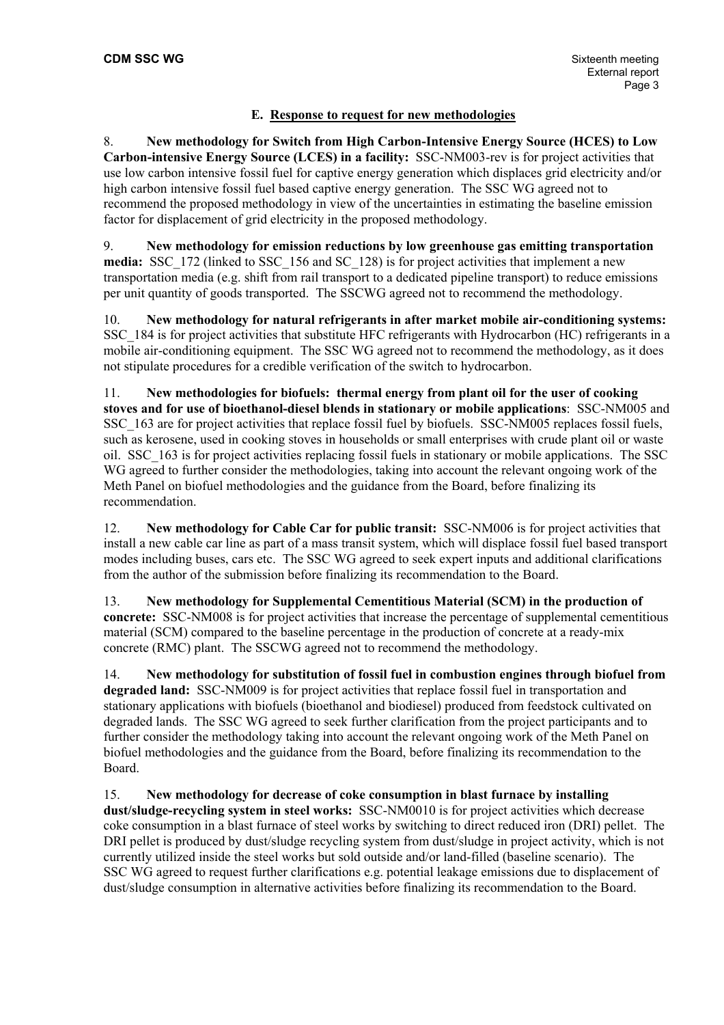# **E. Response to request for new methodologies**

8. **New methodology for Switch from High Carbon-Intensive Energy Source (HCES) to Low Carbon-intensive Energy Source (LCES) in a facility:** SSC-NM003-rev is for project activities that use low carbon intensive fossil fuel for captive energy generation which displaces grid electricity and/or high carbon intensive fossil fuel based captive energy generation. The SSC WG agreed not to recommend the proposed methodology in view of the uncertainties in estimating the baseline emission factor for displacement of grid electricity in the proposed methodology.

9. **New methodology for emission reductions by low greenhouse gas emitting transportation media:** SSC\_172 (linked to SSC\_156 and SC\_128) is for project activities that implement a new transportation media (e.g. shift from rail transport to a dedicated pipeline transport) to reduce emissions per unit quantity of goods transported. The SSCWG agreed not to recommend the methodology.

10. **New methodology for natural refrigerants in after market mobile air-conditioning systems:**  SSC\_184 is for project activities that substitute HFC refrigerants with Hydrocarbon (HC) refrigerants in a mobile air-conditioning equipment.The SSC WG agreed not to recommend the methodology, as it does not stipulate procedures for a credible verification of the switch to hydrocarbon.

11. **New methodologies for biofuels: thermal energy from plant oil for the user of cooking stoves and for use of bioethanol-diesel blends in stationary or mobile applications**: SSC-NM005 and SSC\_163 are for project activities that replace fossil fuel by biofuels. SSC-NM005 replaces fossil fuels, such as kerosene, used in cooking stoves in households or small enterprises with crude plant oil or waste oil. SSC\_163 is for project activities replacing fossil fuels in stationary or mobile applications. The SSC WG agreed to further consider the methodologies, taking into account the relevant ongoing work of the Meth Panel on biofuel methodologies and the guidance from the Board, before finalizing its recommendation.

12. **New methodology for Cable Car for public transit:** SSC-NM006 is for project activities that install a new cable car line as part of a mass transit system, which will displace fossil fuel based transport modes including buses, cars etc. The SSC WG agreed to seek expert inputs and additional clarifications from the author of the submission before finalizing its recommendation to the Board.

13. **New methodology for Supplemental Cementitious Material (SCM) in the production of concrete:** SSC-NM008 is for project activities that increase the percentage of supplemental cementitious material (SCM) compared to the baseline percentage in the production of concrete at a ready-mix concrete (RMC) plant. The SSCWG agreed not to recommend the methodology.

14. **New methodology for substitution of fossil fuel in combustion engines through biofuel from degraded land:** SSC-NM009 is for project activities that replace fossil fuel in transportation and stationary applications with biofuels (bioethanol and biodiesel) produced from feedstock cultivated on degraded lands. The SSC WG agreed to seek further clarification from the project participants and to further consider the methodology taking into account the relevant ongoing work of the Meth Panel on biofuel methodologies and the guidance from the Board, before finalizing its recommendation to the Board.

15. **New methodology for decrease of coke consumption in blast furnace by installing dust/sludge-recycling system in steel works:** SSC-NM0010 is for project activities which decrease coke consumption in a blast furnace of steel works by switching to direct reduced iron (DRI) pellet. The DRI pellet is produced by dust/sludge recycling system from dust/sludge in project activity, which is not currently utilized inside the steel works but sold outside and/or land-filled (baseline scenario). The SSC WG agreed to request further clarifications e.g. potential leakage emissions due to displacement of dust/sludge consumption in alternative activities before finalizing its recommendation to the Board.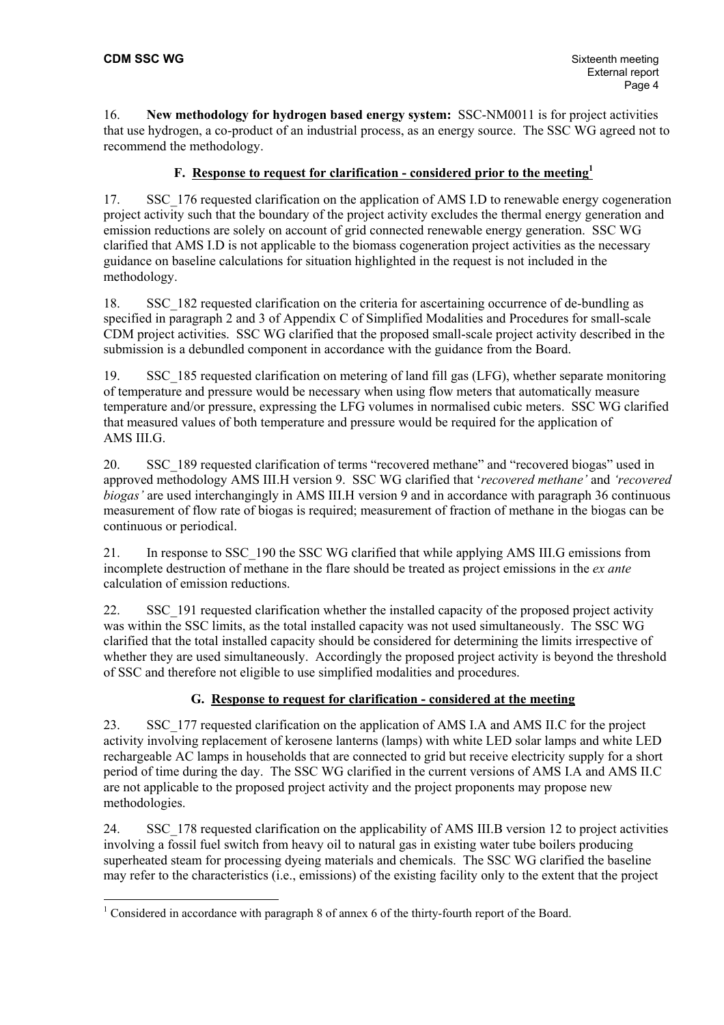16. **New methodology for hydrogen based energy system:** SSC-NM0011 is for project activities that use hydrogen, a co-product of an industrial process, as an energy source. The SSC WG agreed not to recommend the methodology.

### **F. Response to request for clarification - considered prior to the meeting[1](#page-3-0)**

17. SSC\_176 requested clarification on the application of AMS I.D to renewable energy cogeneration project activity such that the boundary of the project activity excludes the thermal energy generation and emission reductions are solely on account of grid connected renewable energy generation. SSC WG clarified that AMS I.D is not applicable to the biomass cogeneration project activities as the necessary guidance on baseline calculations for situation highlighted in the request is not included in the methodology.

18. SSC\_182 requested clarification on the criteria for ascertaining occurrence of de-bundling as specified in paragraph 2 and 3 of Appendix C of Simplified Modalities and Procedures for small-scale CDM project activities. SSC WG clarified that the proposed small-scale project activity described in the submission is a debundled component in accordance with the guidance from the Board.

19. SSC\_185 requested clarification on metering of land fill gas (LFG), whether separate monitoring of temperature and pressure would be necessary when using flow meters that automatically measure temperature and/or pressure, expressing the LFG volumes in normalised cubic meters. SSC WG clarified that measured values of both temperature and pressure would be required for the application of AMS III.G.

20. SSC 189 requested clarification of terms "recovered methane" and "recovered biogas" used in approved methodology AMS III.H version 9. SSC WG clarified that '*recovered methane'* and *'recovered biogas'* are used interchangingly in AMS III.H version 9 and in accordance with paragraph 36 continuous measurement of flow rate of biogas is required; measurement of fraction of methane in the biogas can be continuous or periodical.

21. In response to SSC\_190 the SSC WG clarified that while applying AMS III.G emissions from incomplete destruction of methane in the flare should be treated as project emissions in the *ex ante* calculation of emission reductions.

22. SSC 191 requested clarification whether the installed capacity of the proposed project activity was within the SSC limits, as the total installed capacity was not used simultaneously. The SSC WG clarified that the total installed capacity should be considered for determining the limits irrespective of whether they are used simultaneously. Accordingly the proposed project activity is beyond the threshold of SSC and therefore not eligible to use simplified modalities and procedures.

# **G. Response to request for clarification - considered at the meeting**

23. SSC\_177 requested clarification on the application of AMS I.A and AMS II.C for the project activity involving replacement of kerosene lanterns (lamps) with white LED solar lamps and white LED rechargeable AC lamps in households that are connected to grid but receive electricity supply for a short period of time during the day. The SSC WG clarified in the current versions of AMS I.A and AMS II.C are not applicable to the proposed project activity and the project proponents may propose new methodologies.

24. SSC\_178 requested clarification on the applicability of AMS III.B version 12 to project activities involving a fossil fuel switch from heavy oil to natural gas in existing water tube boilers producing superheated steam for processing dyeing materials and chemicals. The SSC WG clarified the baseline may refer to the characteristics (i.e., emissions) of the existing facility only to the extent that the project

<span id="page-3-0"></span><sup>&</sup>lt;sup>1</sup> Considered in accordance with paragraph 8 of annex 6 of the thirty-fourth report of the Board.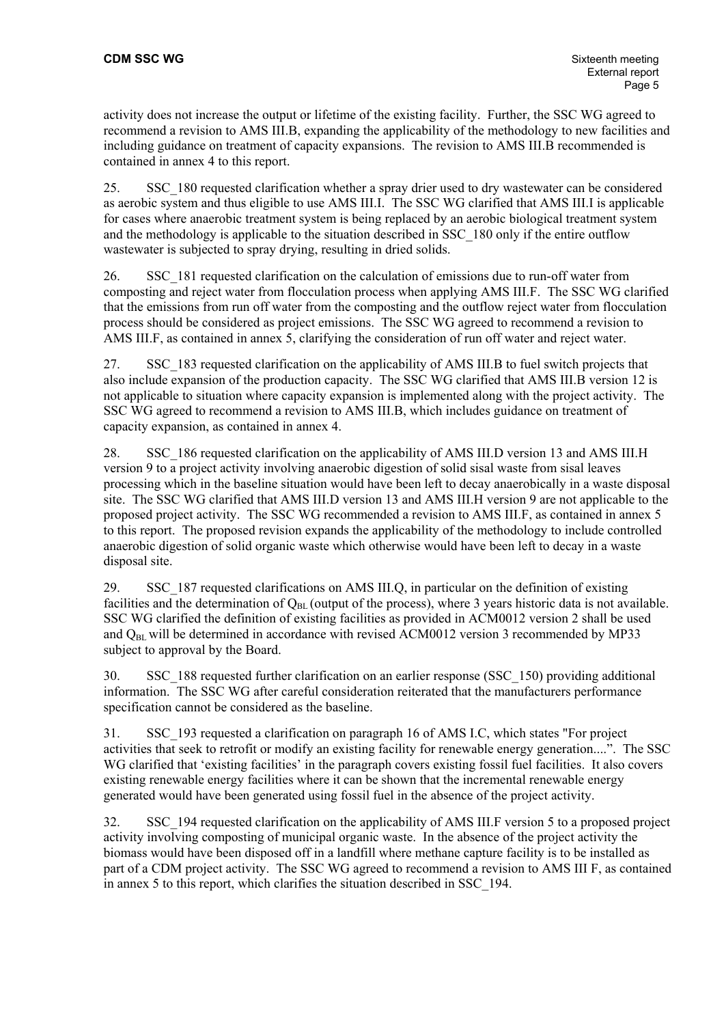activity does not increase the output or lifetime of the existing facility. Further, the SSC WG agreed to recommend a revision to AMS III.B, expanding the applicability of the methodology to new facilities and including guidance on treatment of capacity expansions. The revision to AMS III.B recommended is contained in annex 4 to this report.

25. SSC\_180 requested clarification whether a spray drier used to dry wastewater can be considered as aerobic system and thus eligible to use AMS III.I. The SSC WG clarified that AMS III.I is applicable for cases where anaerobic treatment system is being replaced by an aerobic biological treatment system and the methodology is applicable to the situation described in SSC\_180 only if the entire outflow wastewater is subjected to spray drying, resulting in dried solids.

26. SSC\_181 requested clarification on the calculation of emissions due to run-off water from composting and reject water from flocculation process when applying AMS III.F. The SSC WG clarified that the emissions from run off water from the composting and the outflow reject water from flocculation process should be considered as project emissions. The SSC WG agreed to recommend a revision to AMS III.F, as contained in annex 5, clarifying the consideration of run off water and reject water.

27. SSC\_183 requested clarification on the applicability of AMS III.B to fuel switch projects that also include expansion of the production capacity. The SSC WG clarified that AMS III.B version 12 is not applicable to situation where capacity expansion is implemented along with the project activity. The SSC WG agreed to recommend a revision to AMS III.B, which includes guidance on treatment of capacity expansion, as contained in annex 4.

28. SSC\_186 requested clarification on the applicability of AMS III.D version 13 and AMS III.H version 9 to a project activity involving anaerobic digestion of solid sisal waste from sisal leaves processing which in the baseline situation would have been left to decay anaerobically in a waste disposal site. The SSC WG clarified that AMS III.D version 13 and AMS III.H version 9 are not applicable to the proposed project activity. The SSC WG recommended a revision to AMS III.F, as contained in annex 5 to this report. The proposed revision expands the applicability of the methodology to include controlled anaerobic digestion of solid organic waste which otherwise would have been left to decay in a waste disposal site.

29. SSC\_187 requested clarifications on AMS III.Q, in particular on the definition of existing facilities and the determination of  $Q_{BL}$  (output of the process), where 3 years historic data is not available. SSC WG clarified the definition of existing facilities as provided in ACM0012 version 2 shall be used and  $Q_{BL}$  will be determined in accordance with revised ACM0012 version 3 recommended by MP33 subject to approval by the Board.

30. SSC\_188 requested further clarification on an earlier response (SSC\_150) providing additional information. The SSC WG after careful consideration reiterated that the manufacturers performance specification cannot be considered as the baseline.

31. SSC\_193 requested a clarification on paragraph 16 of AMS I.C, which states "For project activities that seek to retrofit or modify an existing facility for renewable energy generation....". The SSC WG clarified that 'existing facilities' in the paragraph covers existing fossil fuel facilities. It also covers existing renewable energy facilities where it can be shown that the incremental renewable energy generated would have been generated using fossil fuel in the absence of the project activity.

32. SSC\_194 requested clarification on the applicability of AMS III.F version 5 to a proposed project activity involving composting of municipal organic waste. In the absence of the project activity the biomass would have been disposed off in a landfill where methane capture facility is to be installed as part of a CDM project activity. The SSC WG agreed to recommend a revision to AMS III F, as contained in annex 5 to this report, which clarifies the situation described in SSC\_194.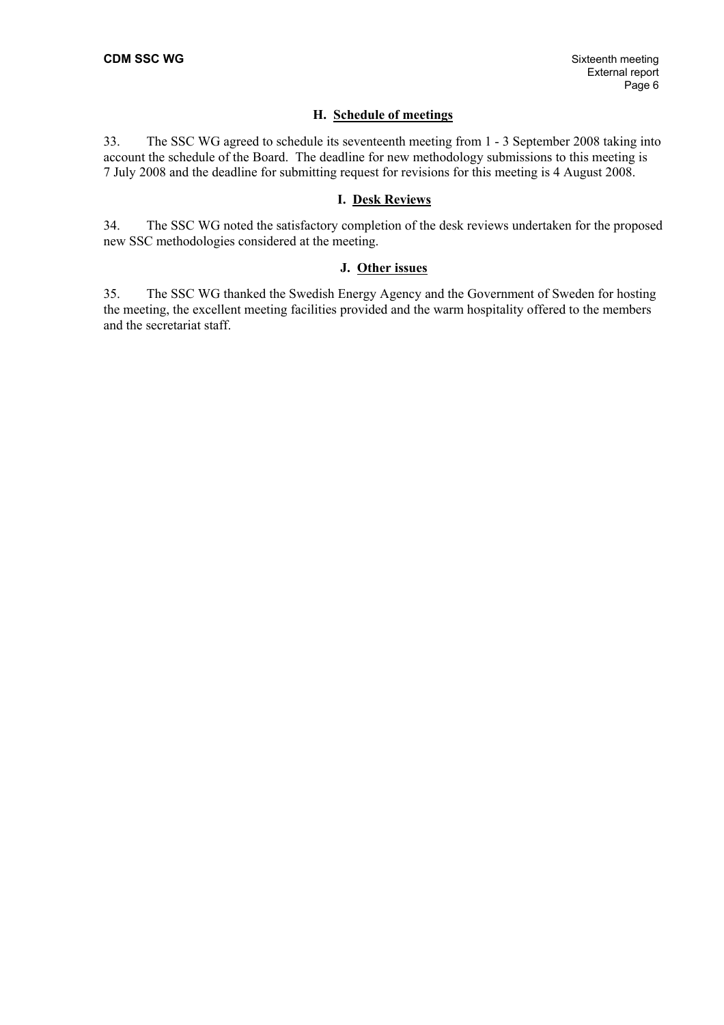#### **H. Schedule of meetings**

33. The SSC WG agreed to schedule its seventeenth meeting from 1 - 3 September 2008 taking into account the schedule of the Board. The deadline for new methodology submissions to this meeting is 7 July 2008 and the deadline for submitting request for revisions for this meeting is 4 August 2008.

### **I. Desk Reviews**

34. The SSC WG noted the satisfactory completion of the desk reviews undertaken for the proposed new SSC methodologies considered at the meeting.

#### **J. Other issues**

35. The SSC WG thanked the Swedish Energy Agency and the Government of Sweden for hosting the meeting, the excellent meeting facilities provided and the warm hospitality offered to the members and the secretariat staff.